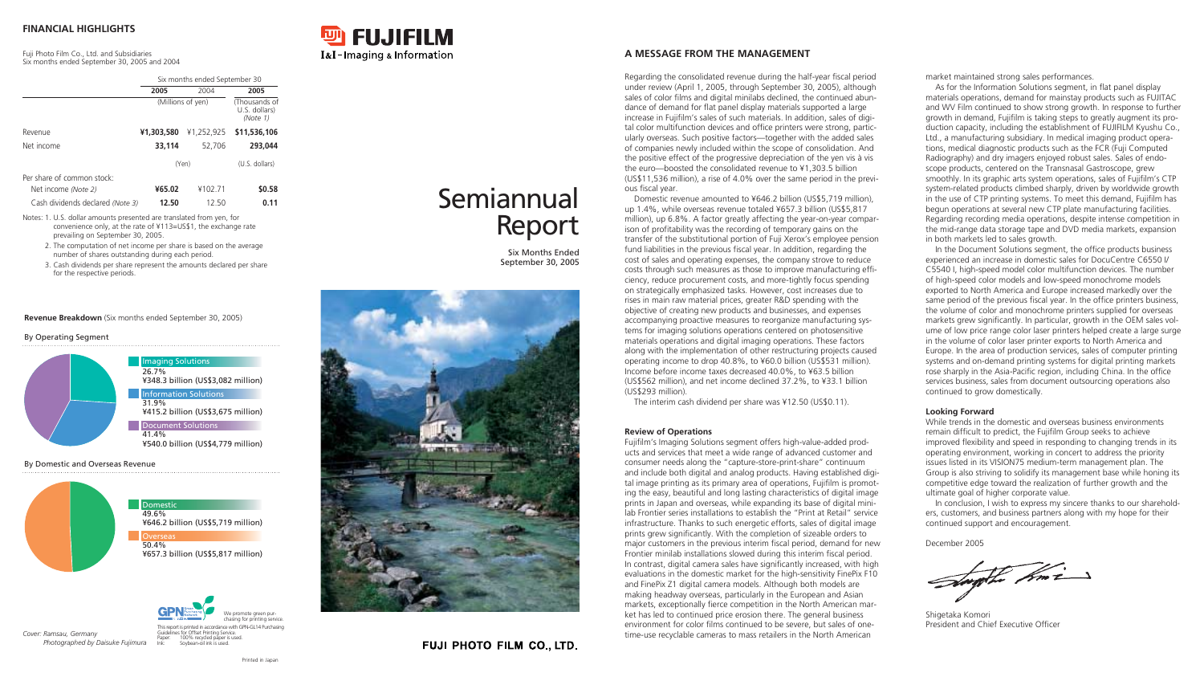|                                  |            | Six months ended September 30<br>2004<br>2005<br>(Millions of yen)<br>(Thousands of<br>U.S. dollars)<br>(Note 1)<br>\$11,536,106<br>¥1,252,925<br>52.706<br>293,044<br>(Yen)<br>(U.S. dollars) |        |  |
|----------------------------------|------------|------------------------------------------------------------------------------------------------------------------------------------------------------------------------------------------------|--------|--|
|                                  | 2005       |                                                                                                                                                                                                |        |  |
|                                  |            |                                                                                                                                                                                                |        |  |
| Revenue                          | ¥1,303,580 |                                                                                                                                                                                                |        |  |
| Net income                       | 33.114     |                                                                                                                                                                                                |        |  |
|                                  |            |                                                                                                                                                                                                |        |  |
| Per share of common stock:       |            |                                                                                                                                                                                                |        |  |
| Net income (Note 2)              | ¥65.02     | ¥102.71                                                                                                                                                                                        | \$0.58 |  |
| Cash dividends declared (Note 3) | 12.50      | 12.50                                                                                                                                                                                          | 0.11   |  |

- Notes: 1. U.S. dollar amounts presented are translated from yen, for convenience only, at the rate of ¥113=US\$1, the exchange rate prevailing on September 30, 2005.
	- 2. The computation of net income per share is based on the average number of shares outstanding during each period.
	- 3. Cash dividends per share represent the amounts declared per share for the respective periods.

Regarding the consolidated revenue during the half-year fiscal period under review (April 1, 2005, through September 30, 2005), although sales of color films and digital minilabs declined, the continued abundance of demand for flat panel display materials supported a large increase in Fujifilm's sales of such materials. In addition, sales of digital color multifunction devices and office printers were strong, particularly overseas. Such positive factors—together with the added sales of companies newly included within the scope of consolidation. And the positive effect of the progressive depreciation of the yen vis à vis the euro—boosted the consolidated revenue to ¥1,303.5 billion (US\$11,536 million), a rise of 4.0% over the same period in the previous fiscal year.

Domestic revenue amounted to ¥646.2 billion (US\$5,719 million), up 1.4%, while overseas revenue totaled ¥657.3 billion (US\$5,817 million), up 6.8%. A factor greatly affecting the year-on-year comparison of profitability was the recording of temporary gains on the transfer of the substitutional portion of Fuji Xerox's employee pension fund liabilities in the previous fiscal year. In addition, regarding the cost of sales and operating expenses, the company strove to reduce costs through such measures as those to improve manufacturing efficiency, reduce procurement costs, and more-tightly focus spending on strategically emphasized tasks. However, cost increases due to rises in main raw material prices, greater R&D spending with the objective of creating new products and businesses, and expenses accompanying proactive measures to reorganize manufacturing systems for imaging solutions operations centered on photosensitive materials operations and digital imaging operations. These factors along with the implementation of other restructuring projects caused operating income to drop 40.8%, to ¥60.0 billion (US\$531 million). Income before income taxes decreased 40.0%, to ¥63.5 billion (US\$562 million), and net income declined 37.2%, to ¥33.1 billion (US\$293 million).

The interim cash dividend per share was ¥12.50 (US\$0.11).

### **Review of Operations**

Fujifilm's Imaging Solutions segment offers high-value-added products and services that meet a wide range of advanced customer and consumer needs along the "capture-store-print-share" continuum and include both digital and analog products. Having established digital image printing as its primary area of operations, Fujifilm is promoting the easy, beautiful and long lasting characteristics of digital image prints in Japan and overseas, while expanding its base of digital minilab Frontier series installations to establish the "Print at Retail" service infrastructure. Thanks to such energetic efforts, sales of digital image prints grew significantly. With the completion of sizeable orders to major customers in the previous interim fiscal period, demand for new Frontier minilab installations slowed during this interim fiscal period. In contrast, digital camera sales have significantly increased, with high evaluations in the domestic market for the high-sensitivity FinePix F10 and FinePix Z1 digital camera models. Although both models are making headway overseas, particularly in the European and Asian markets, exceptionally fierce competition in the North American market has led to continued price erosion there. The general business environment for color films continued to be severe, but sales of onetime-use recyclable cameras to mass retailers in the North American

market maintained strong sales performances.

As for the Information Solutions segment, in flat panel display materials operations, demand for mainstay products such as FUJITAC and WV Film continued to show strong growth. In response to further growth in demand, Fujifilm is taking steps to greatly augment its production capacity, including the establishment of FUJIFILM Kyushu Co., Ltd., a manufacturing subsidiary. In medical imaging product operations, medical diagnostic products such as the FCR (Fuji Computed Radiography) and dry imagers enjoyed robust sales. Sales of endoscope products, centered on the Transnasal Gastroscope, grew smoothly. In its graphic arts system operations, sales of Fujifilm's CTP system-related products climbed sharply, driven by worldwide growth in the use of CTP printing systems. To meet this demand, Fujifilm has begun operations at several new CTP plate manufacturing facilities. Regarding recording media operations, despite intense competition in the mid-range data storage tape and DVD media markets, expansion in both markets led to sales growth.

In the Document Solutions segment, the office products business experienced an increase in domestic sales for DocuCentre C6550 I/ C5540 I, high-speed model color multifunction devices. The number of high-speed color models and low-speed monochrome models exported to North America and Europe increased markedly over the same period of the previous fiscal year. In the office printers business, the volume of color and monochrome printers supplied for overseas markets grew significantly. In particular, growth in the OEM sales volume of low price range color laser printers helped create a large surge in the volume of color laser printer exports to North America and Europe. In the area of production services, sales of computer printing systems and on-demand printing systems for digital printing markets rose sharply in the Asia-Pacific region, including China. In the office services business, sales from document outsourcing operations also continued to grow domestically.

## **Looking Forward**

While trends in the domestic and overseas business environments remain difficult to predict, the Fujifilm Group seeks to achieve improved flexibility and speed in responding to changing trends in its operating environment, working in concert to address the priority issues listed in its VISION75 medium-term management plan. The Group is also striving to solidify its management base while honing its competitive edge toward the realization of further growth and the ultimate goal of higher corporate value. In conclusion, I wish to express my sincere thanks to our shareholders, customers, and business partners along with my hope for their continued support and encouragement.

December 2005

the Ami



Shigetaka Komori President and Chief Executive Officer

# **FINANCIAL HIGHLIGHTS**

Fuji Photo Film Co., Ltd. and Subsidiaries Six months ended September 30, 2005 and 2004

# **A MESSAGE FROM THE MANAGEMENT**

*Cover: Ramsau, Germany Photographed by Daisuke Fujimura*

**Revenue Breakdown** (Six months ended September 30, 2005)

### By Operating Segment

## By Domestic and Overseas Revenue











# Semiannual Report

Six Months Ended September 30, 2005



# **FUJI PHOTO FILM CO., LTD.**